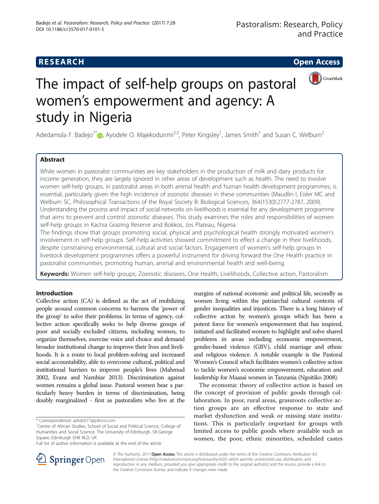## **RESEARCH CHE Open Access**



# The impact of self-help groups on pastoral women's empowerment and agency: A study in Nigeria

Adedamola F. Badejo<sup>1\*</sup> $\odot$ , Ayodele O. Majekodunmi<sup>2,3</sup>, Peter Kingsley<sup>1</sup>, James Smith<sup>1</sup> and Susan C. Welburn<sup>2</sup>

## Abstract

While women in pastoralist communities are key stakeholders in the production of milk and dairy products for income generation, they are largely ignored in other areas of development such as health. The need to involve women self-help groups, in pastoralist areas in both animal health and human health development programmes, is essential, particularly given the high incidence of zoonotic diseases in these communities (Maudlin I, Eisler MC and Welburn SC, Philosophical Transactions of the Royal Society B: Biological Sciences, 364(1530):2777-2787, 2009). Understanding the process and impact of social networks on livelihoods is essential for any development programme that aims to prevent and control zoonotic diseases. This study examines the roles and responsibilities of women self-help groups in Kachia Grazing Reserve and Bokkos, Jos Plateau, Nigeria.

The findings show that groups promoting social, physical and psychological health strongly motivated women's involvement in self-help groups. Self-help activities showed commitment to effect a change in their livelihoods, despite constraining environmental, cultural and social factors. Engagement of women's self-help groups in livestock development programmes offers a powerful instrument for driving forward the One Health practice in pastoralist communities, promoting human, animal and environmental health and well-being.

Keywords: Women self-help groups, Zoonotic diseases, One Health, Livelihoods, Collective action, Pastoralism

## Introduction

Collective action (CA) is defined as the act of mobilizing people around common concerns to harness the 'power of the group' to solve their problems. In terms of agency, collective action specifically seeks to help diverse groups of poor and socially excluded citizens, including women, to organize themselves, exercise voice and choice and demand broader institutional change to improve their lives and livelihoods. It is a route to local problem-solving and increased social accountability, able to overcome cultural, political and institutional barriers to improve people's lives (Mahmud [2002](#page-10-0), Evans and Nambiar [2013\)](#page-10-0). Discrimination against women remains a global issue. Pastoral women bear a particularly heavy burden in terms of discrimination, being doubly marginalized - first as pastoralists who live at the

<sup>1</sup>Centre of African Studies, School of Social and Political Science, College of Humanities and Social Science, The University of Edinburgh, 58 George Square, Edinburgh EH8 9LD, UK

margins of national economic and political life, secondly as women living within the patriarchal cultural contexts of gender inequalities and injustices. There is a long history of collective action by women's groups which has been a potent force for women's empowerment that has inspired, initiated and facilitated women to highlight and solve shared problems in areas including economic empowerment, gender-based violence (GBV), child marriage and ethnic and religious violence. A notable example is the Pastoral Women's Council which facilitates women's collective action to tackle women's economic empowerment, education and leadership for Maasai women in Tanzania (Ngoitiko [2008\)](#page-11-0).

The economic theory of collective action is based on the concept of provision of public goods through collaboration. In poor, rural areas, grassroots collective action groups are an effective response to state and market dysfunction and weak or missing state institutions. This is particularly important for groups with limited access to public goods where available such as women, the poor, ethnic minorities, scheduled castes



© The Author(s). 2017 **Open Access** This article is distributed under the terms of the Creative Commons Attribution 4.0 International License ([http://creativecommons.org/licenses/by/4.0/\)](http://creativecommons.org/licenses/by/4.0/), which permits unrestricted use, distribution, and reproduction in any medium, provided you give appropriate credit to the original author(s) and the source, provide a link to the Creative Commons license, and indicate if changes were made.

<sup>\*</sup> Correspondence: [adedot77@yahoo.com](mailto:adedot77@yahoo.com) <sup>1</sup>

Full list of author information is available at the end of the article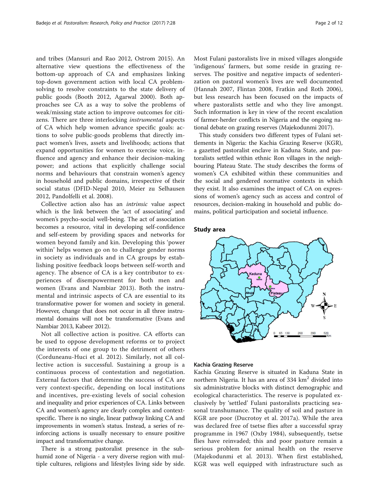and tribes (Mansuri and Rao [2012,](#page-11-0) Ostrom [2015](#page-11-0)). An alternative view questions the effectiveness of the bottom-up approach of CA and emphasizes linking top-down government action with local CA problemsolving to resolve constraints to the state delivery of public goods (Booth [2012](#page-10-0), Agarwal [2000](#page-10-0)). Both approaches see CA as a way to solve the problems of weak/missing state action to improve outcomes for citizens. There are three interlocking instrumental aspects of CA which help women advance specific goals: actions to solve public-goods problems that directly impact women's lives, assets and livelihoods; actions that expand opportunities for women to exercise voice, influence and agency and enhance their decision-making power; and actions that explicitly challenge social norms and behaviours that constrain women's agency in household and public domains, irrespective of their social status (DFID-Nepal [2010,](#page-10-0) Meier zu Selhausen [2012,](#page-11-0) Pandolfelli et al. [2008\)](#page-11-0).

Collective action also has an intrinsic value aspect which is the link between the 'act of associating' and women's psycho-social well-being. The act of association becomes a resource, vital in developing self-confidence and self-esteem by providing spaces and networks for women beyond family and kin. Developing this 'power within' helps women go on to challenge gender norms in society as individuals and in CA groups by establishing positive feedback loops between self-worth and agency. The absence of CA is a key contributor to experiences of disempowerment for both men and women (Evans and Nambiar [2013\)](#page-10-0). Both the instrumental and intrinsic aspects of CA are essential to its transformative power for women and society in general. However, change that does not occur in all three instrumental domains will not be transformative (Evans and Nambiar [2013,](#page-10-0) Kabeer [2012](#page-10-0)).

Not all collective action is positive. CA efforts can be used to oppose development reforms or to project the interests of one group to the detriment of others (Corduneanu-Huci et al. [2012\)](#page-10-0). Similarly, not all collective action is successful. Sustaining a group is a continuous process of contestation and negotiation. External factors that determine the success of CA are very context-specific, depending on local institutions and incentives, pre-existing levels of social cohesion and inequality and prior experiences of CA. Links between CA and women's agency are clearly complex and contextspecific. There is no single, linear pathway linking CA and improvements in women's status. Instead, a series of reinforcing actions is usually necessary to ensure positive impact and transformative change.

There is a strong pastoralist presence in the subhumid zone of Nigeria - a very diverse region with multiple cultures, religions and lifestyles living side by side.

Most Fulani pastoralists live in mixed villages alongside 'indigenous' farmers, but some reside in grazing reserves. The positive and negative impacts of sedenterization on pastoral women's lives are well documented (Hannah [2007,](#page-10-0) Flintan [2008,](#page-10-0) Fratkin and Roth [2006](#page-10-0)), but less research has been focused on the impacts of where pastoralists settle and who they live amongst. Such information is key in view of the recent escalation of farmer-herder conflicts in Nigeria and the ongoing national debate on grazing reserves (Majekodunmi [2017\)](#page-10-0).

This study considers two different types of Fulani settlements in Nigeria: the Kachia Grazing Reserve (KGR), a gazetted pastoralist enclave in Kaduna State, and pastoralists settled within ethnic Ron villages in the neighbouring Plateau State. The study describes the forms of women's CA exhibited within these communities and the social and gendered normative contexts in which they exist. It also examines the impact of CA on expressions of women's agency such as access and control of resources, decision-making in household and public domains, political participation and societal influence.

#### Study area



#### Kachia Grazing Reserve

Kachia Grazing Reserve is situated in Kaduna State in northern Nigeria. It has an area of 334 km<sup>2</sup> divided into six administrative blocks with distinct demographic and ecological characteristics. The reserve is populated exclusively by 'settled' Fulani pastoralists practicing seasonal transhumance. The quality of soil and pasture in KGR are poor (Ducrotoy et al. [2017a\)](#page-10-0). While the area was declared free of tsetse flies after a successful spray programme in 1967 (Oxby [1984](#page-11-0)), subsequently, tsetse flies have reinvaded; this and poor pasture remain a serious problem for animal health on the reserve (Majekodunmi et al. [2013](#page-10-0)). When first established, KGR was well equipped with infrastructure such as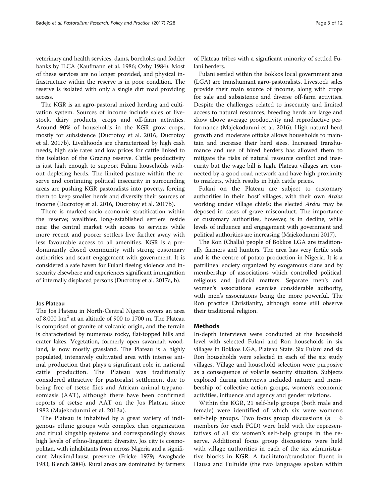veterinary and health services, dams, boreholes and fodder banks by ILCA (Kaufmann et al. [1986;](#page-10-0) Oxby [1984](#page-11-0)). Most of these services are no longer provided, and physical infrastructure within the reserve is in poor condition. The reserve is isolated with only a single dirt road providing access.

The KGR is an agro-pastoral mixed herding and cultivation system. Sources of income include sales of livestock, dairy products, crops and off-farm activities. Around 90% of households in the KGR grow crops, mostly for subsistence (Ducrotoy et al. [2016,](#page-10-0) Ducrotoy et al. [2017b](#page-10-0)). Livelihoods are characterized by high cash needs, high sale rates and low prices for cattle linked to the isolation of the Grazing reserve. Cattle productivity is just high enough to support Fulani households without depleting herds. The limited pasture within the reserve and continuing political insecurity in surrounding areas are pushing KGR pastoralists into poverty, forcing them to keep smaller herds and diversify their sources of income (Ducrotoy et al. [2016](#page-10-0), Ducrotoy et al. [2017b](#page-10-0)).

There is marked socio-economic stratification within the reserve; wealthier, long-established settlers reside near the central market with access to services while more recent and poorer settlers live farther away with less favourable access to all amenities. KGR is a predominantly closed community with strong customary authorities and scant engagement with government. It is considered a safe haven for Fulani fleeing violence and insecurity elsewhere and experiences significant immigration of internally displaced persons (Ducrotoy et al. [2017a](#page-10-0), [b](#page-10-0)).

#### Jos Plateau

The Jos Plateau in North-Central Nigeria covers an area of 8,000 km2 at an altitude of 900 to 1700 m. The Plateau is comprised of granite of volcanic origin, and the terrain is characterized by numerous rocky, flat-topped hills and crater lakes. Vegetation, formerly open savannah woodland, is now mostly grassland. The Plateau is a highly populated, intensively cultivated area with intense animal production that plays a significant role in national cattle production. The Plateau was traditionally considered attractive for pastoralist settlement due to being free of tsetse flies and African animal trypanosomiasis (AAT), although there have been confirmed reports of tsetse and AAT on the Jos Plateau since 1982 (Majekodunmi et al. [2013a\)](#page-11-0).

The Plateau is inhabited by a great variety of indigenous ethnic groups with complex clan organization and ritual kingship systems and correspondingly shows high levels of ethno-linguistic diversity. Jos city is cosmopolitan, with inhabitants from across Nigeria and a significant Muslim/Hausa presence (Fricke [1979](#page-10-0); Awogbade [1983;](#page-10-0) Blench [2004\)](#page-10-0). Rural areas are dominated by farmers

of Plateau tribes with a significant minority of settled Fulani herders.

Fulani settled within the Bokkos local government area (LGA) are transhumant agro-pastoralists. Livestock sales provide their main source of income, along with crops for sale and subsistence and diverse off-farm activities. Despite the challenges related to insecurity and limited access to natural resources, breeding herds are large and show above average productivity and reproductive performance (Majekodunmi et al. [2016\)](#page-10-0). High natural herd growth and moderate offtake allows households to maintain and increase their herd sizes. Increased transhumance and use of hired herders has allowed them to mitigate the risks of natural resource conflict and insecurity but the wage bill is high. Plateau villages are connected by a good road network and have high proximity to markets, which results in high cattle prices.

Fulani on the Plateau are subject to customary authorities in their 'host' villages, with their own Ardos working under village chiefs; the elected Ardos may be deposed in cases of grave misconduct. The importance of customary authorities, however, is in decline, while levels of influence and engagement with government and political authorities are increasing (Majekodunmi [2017](#page-10-0)).

The Ron (Challa) people of Bokkos LGA are traditionally farmers and hunters. The area has very fertile soils and is the centre of potato production in Nigeria. It is a patrilineal society organized by exogamous clans and by membership of associations which controlled political, religious and judicial matters. Separate men's and women's associations exercise considerable authority, with men's associations being the more powerful. The Ron practice Christianity, although some still observe their traditional religion.

#### **Methods**

In-depth interviews were conducted at the household level with selected Fulani and Ron households in six villages in Bokkos LGA, Plateau State. Six Fulani and six Ron households were selected in each of the six study villages. Village and household selection were purposive as a consequence of volatile security situation. Subjects explored during interviews included nature and membership of collective action groups, women's economic activities, influence and agency and gender relations.

Within the KGR, 21 self-help groups (both male and female) were identified of which six were women's self-help groups. Two focus group discussions ( $n = 6$ ) members for each FGD) were held with the representatives of all six women's self-help groups in the reserve. Additional focus group discussions were held with village authorities in each of the six administrative blocks in KGR. A facilitator/translator fluent in Hausa and Fulfulde (the two languages spoken within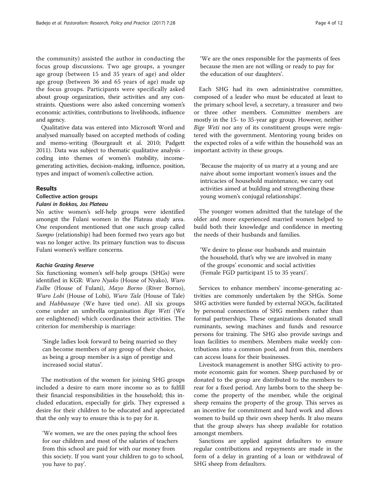the community) assisted the author in conducting the focus group discussions. Two age groups, a younger age group (between 15 and 35 years of age) and older age group (between 36 and 65 years of age) made up the focus groups. Participants were specifically asked about group organization, their activities and any constraints. Questions were also asked concerning women's economic activities, contributions to livelihoods, influence and agency.

Qualitative data was entered into Microsoft Word and analysed manually based on accepted methods of coding and memo-writing (Bourgeault et al. [2010;](#page-10-0) Padgett [2011](#page-11-0)). Data was subject to thematic qualitative analysis coding into themes of women's mobility, incomegenerating activities, decision-making, influence, position, types and impact of women's collective action.

#### Results

#### Collective action groups

#### Fulani in Bokkos, Jos Plateau

No active women's self-help groups were identified amongst the Fulani women in the Plateau study area. One respondent mentioned that one such group called Sumpo (relationship) had been formed two years ago but was no longer active. Its primary function was to discuss Fulani women's welfare concerns.

#### Kachia Grazing Reserve

Six functioning women's self-help groups (SHGs) were identified in KGR: Wuro Nyako (House of Nyako), Wuro Fulbe (House of Fulani), Mayo Borno (River Borno), Wuro Lobi (House of Lobi), Wuro Tale (House of Tale) and Habbanaye (We have tied one). All six groups come under an umbrella organisation Bige Weti (We are enlightened) which coordinates their activities. The criterion for membership is marriage:

'Single ladies look forward to being married so they can become members of any group of their choice, as being a group member is a sign of prestige and increased social status'.

The motivation of the women for joining SHG groups included a desire to earn more income so as to fulfill their financial responsibilities in the household; this included education, especially for girls. They expressed a desire for their children to be educated and appreciated that the only way to ensure this is to pay for it.

'We women, we are the ones paying the school fees for our children and most of the salaries of teachers from this school are paid for with our money from this society. If you want your children to go to school, you have to pay'.

'We are the ones responsible for the payments of fees because the men are not willing or ready to pay for the education of our daughters'.

Each SHG had its own administrative committee, composed of a leader who must be educated at least to the primary school level, a secretary, a treasurer and two or three other members. Committee members are mostly in the 15- to 35-year age group. However, neither Bige Weti nor any of its constituent groups were registered with the government. Mentoring young brides on the expected roles of a wife within the household was an important activity in these groups.

'Because the majority of us marry at a young and are naive about some important women's issues and the intricacies of household maintenance, we carry out activities aimed at building and strengthening these young women's conjugal relationships'.

The younger women admitted that the tutelage of the older and more experienced married women helped to build both their knowledge and confidence in meeting the needs of their husbands and families.

'We desire to please our husbands and maintain the household, that's why we are involved in many of the groups' economic and social activities (Female FGD participant 15 to 35 years)'.

Services to enhance members' income-generating activities are commonly undertaken by the SHGs. Some SHG activities were funded by external NGOs, facilitated by personal connections of SHG members rather than formal partnerships. These organizations donated small ruminants, sewing machines and funds and resource persons for training. The SHG also provide savings and loan facilities to members. Members make weekly contributions into a common pool, and from this, members can access loans for their businesses.

Livestock management is another SHG activity to promote economic gain for women. Sheep purchased by or donated to the group are distributed to the members to rear for a fixed period. Any lambs born to the sheep become the property of the member, while the original sheep remains the property of the group. This serves as an incentive for commitment and hard work and allows women to build up their own sheep herds. It also means that the group always has sheep available for rotation amongst members.

Sanctions are applied against defaulters to ensure regular contributions and repayments are made in the form of a delay in granting of a loan or withdrawal of SHG sheep from defaulters.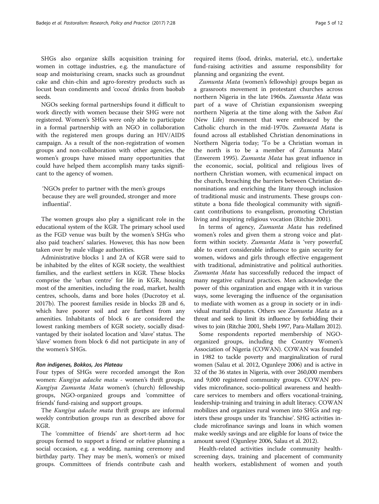SHGs also organize skills acquisition training for women in cottage industries, e.g. the manufacture of soap and moisturising cream, snacks such as groundnut cake and chin-chin and agro-forestry products such as locust bean condiments and 'cocoa' drinks from baobab seeds.

NGOs seeking formal partnerships found it difficult to work directly with women because their SHG were not registered. Women's SHGs were only able to participate in a formal partnership with an NGO in collaboration with the registered men groups during an HIV/AIDS campaign. As a result of the non-registration of women groups and non-collaboration with other agencies, the women's groups have missed many opportunities that could have helped them accomplish many tasks significant to the agency of women.

'NGOs prefer to partner with the men's groups because they are well grounded, stronger and more influential'.

The women groups also play a significant role in the educational system of the KGR. The primary school used as the FGD venue was built by the women's SHGs who also paid teachers' salaries. However, this has now been taken over by male village authorities.

Administrative blocks 1 and 2A of KGR were said to be inhabited by the elites of KGR society, the wealthiest families, and the earliest settlers in KGR. These blocks comprise the 'urban centre' for life in KGR, housing most of the amenities, including the road, market, health centres, schools, dams and bore holes (Ducrotoy et al. [2017b](#page-10-0)). The poorest families reside in blocks 2B and 6, which have poorer soil and are farthest from any amenities. Inhabitants of block 6 are considered the lowest ranking members of KGR society, socially disadvantaged by their isolated location and 'slave' status. The 'slave' women from block 6 did not participate in any of the women's SHGs.

#### Ron indigenes, Bokkos, Jos Plateau

Four types of SHGs were recorded amongst the Ron women: Kungiya adache mata - women's thrift groups, Kungiya Zumunta Mata women's (church) fellowship groups, NGO-organized groups and 'committee of friends' fund-raising and support groups.

The Kungiya adache mata thrift groups are informal weekly contribution groups run as described above for KGR.

The 'committee of friends' are short-term ad hoc groups formed to support a friend or relative planning a social occasion, e.g. a wedding, naming ceremony and birthday party. They may be men's, women's or mixed groups. Committees of friends contribute cash and

required items (food, drinks, material, etc.), undertake fund-raising activities and assume responsibility for planning and organizing the event.

Zumunta Mata (women's fellowship) groups began as a grassroots movement in protestant churches across northern Nigeria in the late 1960s. Zumunta Mata was part of a wave of Christian expansionism sweeping northern Nigeria at the time along with the Sabon Rai (New Life) movement that were embraced by the Catholic church in the mid-1970s. Zumunta Mata is found across all established Christian denominations in Northern Nigeria today; 'To be a Christian woman in the north is to be a member of Zumunta Mata' (Enwerem [1995\)](#page-10-0). Zumunta Mata has great influence in the economic, social, political and religious lives of northern Christian women, with ecumenical impact on the church, breaching the barriers between Christian denominations and enriching the litany through inclusion of traditional music and instruments. These groups constitute a bona fide theological community with significant contributions to evangelism, promoting Christian living and inspiring religious vocation (Ritchie [2001](#page-11-0)).

In terms of agency, Zumunta Mata has redefined women's roles and given them a strong voice and platform within society. Zumunta Mata is 'very powerful', able to exert considerable influence to gain security for women, widows and girls through effective engagement with traditional, administrative and political authorities. Zumunta Mata has successfully reduced the impact of many negative cultural practices. Men acknowledge the power of this organization and engage with it in various ways, some leveraging the influence of the organisation to mediate with women as a group in society or in individual marital disputes. Others see Zumunta Mata as a threat and seek to limit its influence by forbidding their wives to join (Ritchie [2001](#page-11-0), Shebi [1997,](#page-11-0) Para-Mallam [2012](#page-11-0)).

Some respondents reported membership of NGOorganized groups, including the Country Women's Association of Nigeria (COWAN). COWAN was founded in 1982 to tackle poverty and marginalization of rural women (Salau et al. [2012](#page-11-0), Ogunleye [2006\)](#page-11-0) and is active in 32 of the 36 states in Nigeria, with over 260,000 members and 9,000 registered community groups. COWAN provides microfinance, socio-political awareness and healthcare services to members and offers vocational-training, leadership-training and training in adult literacy. COWAN mobilizes and organizes rural women into SHGs and registers these groups under its 'franchise'. SHG activities include microfinance savings and loans in which women make weekly savings and are eligible for loans of twice the amount saved (Ogunleye [2006](#page-11-0), Salau et al. [2012](#page-11-0)).

Health-related activities include community healthscreening days, training and placement of community health workers, establishment of women and youth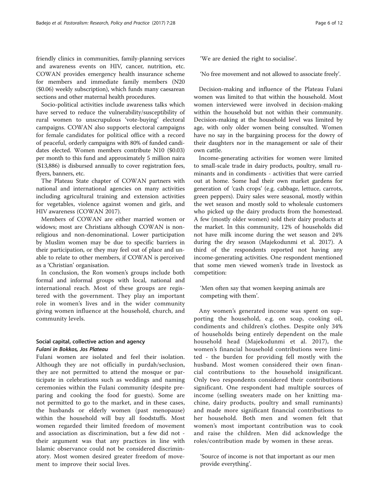friendly clinics in communities, family-planning services and awareness events on HIV, cancer, nutrition, etc. COWAN provides emergency health insurance scheme for members and immediate family members (N20 (\$0.06) weekly subscription), which funds many caesarean sections and other maternal health procedures.

Socio-political activities include awareness talks which have served to reduce the vulnerability/susceptibility of rural women to unscrupulous 'vote-buying' electoral campaigns. COWAN also supports electoral campaigns for female candidates for political office with a record of peaceful, orderly campaigns with 80% of funded candidates elected. Women members contribute N10 (\$0.03) per month to this fund and approximately 5 million naira (\$13,886) is disbursed annually to cover registration fees, flyers, banners, etc.

The Plateau State chapter of COWAN partners with national and international agencies on many activities including agricultural training and extension activities for vegetables, violence against women and girls, and HIV awareness (COWAN [2017](#page-10-0)).

Members of COWAN are either married women or widows; most are Christians although COWAN is nonreligious and non-denominational. Lower participation by Muslim women may be due to specific barriers in their participation, or they may feel out of place and unable to relate to other members, if COWAN is perceived as a 'Christian' organisation.

In conclusion, the Ron women's groups include both formal and informal groups with local, national and international reach. Most of these groups are registered with the government. They play an important role in women's lives and in the wider community giving women influence at the household, church, and community levels.

### Social capital, collective action and agency Fulani in Bokkos, Jos Plateau

Fulani women are isolated and feel their isolation. Although they are not officially in purdah/seclusion, they are not permitted to attend the mosque or participate in celebrations such as weddings and naming ceremonies within the Fulani community (despite preparing and cooking the food for guests). Some are not permitted to go to the market, and in these cases, the husbands or elderly women (past menopause) within the household will buy all foodstuffs. Most women regarded their limited freedom of movement and association as discrimination, but a few did not their argument was that any practices in line with Islamic observance could not be considered discriminatory. Most women desired greater freedom of movement to improve their social lives.

'We are denied the right to socialise'.

'No free movement and not allowed to associate freely'.

Decision-making and influence of the Plateau Fulani women was limited to that within the household. Most women interviewed were involved in decision-making within the household but not within their community. Decision-making at the household level was limited by age, with only older women being consulted. Women have no say in the bargaining process for the dowry of their daughters nor in the management or sale of their own cattle.

Income-generating activities for women were limited to small-scale trade in dairy products, poultry, small ruminants and in condiments - activities that were carried out at home. Some had their own market gardens for generation of 'cash crops' (e.g. cabbage, lettuce, carrots, green peppers). Dairy sales were seasonal, mostly within the wet season and mostly sold to wholesale customers who picked up the dairy products from the homestead. A few (mostly older women) sold their dairy products at the market. In this community, 12% of households did not have milk income during the wet season and 24% during the dry season (Majekodunmi et al. [2017\)](#page-10-0). A third of the respondents reported not having any income-generating activities. One respondent mentioned that some men viewed women's trade in livestock as competition:

'Men often say that women keeping animals are competing with them'.

Any women's generated income was spent on supporting the household, e.g. on soap, cooking oil, condiments and children's clothes. Despite only 34% of households being entirely dependent on the male household head (Majekodunmi et al. [2017](#page-10-0)), the women's financial household contributions were limited - the burden for providing fell mostly with the husband. Most women considered their own financial contributions to the household insignificant. Only two respondents considered their contributions significant. One respondent had multiple sources of income (selling sweaters made on her knitting machine, dairy products, poultry and small ruminants) and made more significant financial contributions to her household. Both men and women felt that women's most important contribution was to cook and raise the children. Men did acknowledge the roles/contribution made by women in these areas.

'Source of income is not that important as our men provide everything'.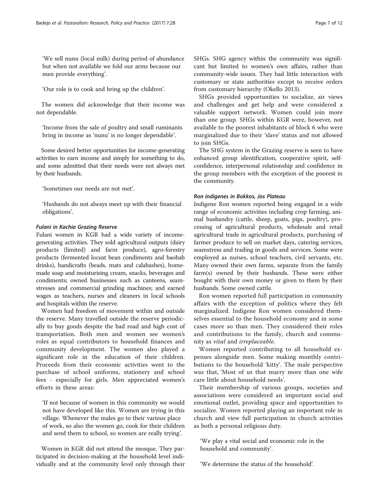'We sell nunu (local milk) during period of abundance but when not available we fold our arms because our men provide everything'.

'Our role is to cook and bring up the children'.

The women did acknowledge that their income was not dependable.

'Income from the sale of poultry and small ruminants bring in income as 'nunu' is no longer dependable'.

Some desired better opportunities for income-generating activities to earn income and simply for something to do, and some admitted that their needs were not always met by their husbands.

'Sometimes our needs are not met'.

'Husbands do not always meet up with their financial obligations'.

#### Fulani in Kachia Grazing Reserve

Fulani women in KGR had a wide variety of incomegenerating activities. They sold agricultural outputs (dairy products (limited) and farm produce), agro-forestry products (fermented locust bean condiments and baobab drinks), handicrafts (beads, mats and calabashes), homemade soap and moisturising cream, snacks, beverages and condiments; owned businesses such as canteens, seamstresses and commercial grinding machines; and earned wages as teachers, nurses and cleaners in local schools and hospitals within the reserve.

Women had freedom of movement within and outside the reserve. Many travelled outside the reserve periodically to buy goods despite the bad road and high cost of transportation. Both men and women see women's roles as equal contributors to household finances and community development. The women also played a significant role in the education of their children. Proceeds from their economic activities went to the purchase of school uniforms, stationery and school fees - especially for girls. Men appreciated women's efforts in these areas:

'If not because of women in this community we would not have developed like this. Women are trying in this village. Whenever the males go to their various place of work, so also the women go, cook for their children and send them to school, so women are really trying'.

Women in KGR did not attend the mosque. They participated in decision-making at the household level individually and at the community level only through their SHGs. SHG agency within the community was significant but limited to women's own affairs, rather than community-wide issues. They had little interaction with customary or state authorities except to receive orders from customary hierarchy (Okello [2013\)](#page-11-0).

SHGs provided opportunities to socialize, air views and challenges and get help and were considered a valuable support network. Women could join more than one group. SHGs within KGR were, however, not available to the poorest inhabitants of block 6 who were marginalized due to their 'slave' status and not allowed to join SHGs.

The SHG system in the Grazing reserve is seen to have enhanced group identification, cooperative spirit, selfconfidence, interpersonal relationship and confidence in the group members with the exception of the poorest in the community.

#### Ron indigenes in Bokkos, Jos Plateau

Indigene Ron women reported being engaged in a wide range of economic activities including crop farming, animal husbandry (cattle, sheep, goats, pigs, poultry), processing of agricultural products, wholesale and retail agricultural trade in agricultural products, purchasing of farmer produce to sell on market days, catering services, seamstress and trading in goods and services. Some were employed as nurses, school teachers, civil servants, etc. Many owned their own farms, separate from the family farm(s) owned by their husbands. These were either bought with their own money or given to them by their husbands. Some owned cattle.

Ron women reported full participation in community affairs with the exception of politics where they felt marginalized. Indigene Ron women considered themselves essential to the household economy and in some cases more so than men. They considered their roles and contributions to the family, church and community as vital and irreplaceable.

Women reported contributing to all household expenses alongside men. Some making monthly contributions to the household 'kitty'. The male perspective was that, 'Most of us that marry more than one wife care little about household needs'.

Their membership of various groups, societies and associations were considered an important social and emotional outlet, providing space and opportunities to socialize. Women reported playing an important role in church and view full participation in church activities as both a personal religious duty.

'We play a vital social and economic role in the household and community'.

'We determine the status of the household'.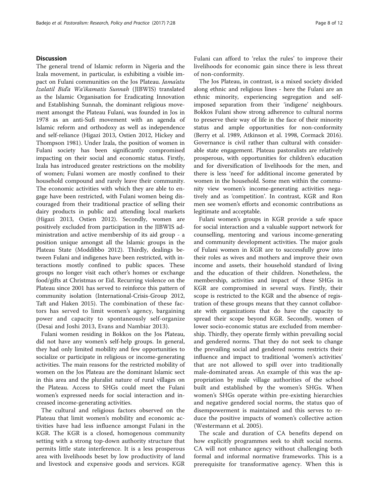#### **Discussion**

The general trend of Islamic reform in Nigeria and the Izala movement, in particular, is exhibiting a visible impact on Fulani communities on the Jos Plateau. Jama'atu Izalatil Bid'a Wa'ikamatis Sunnah (JIBWIS) translated as the Islamic Organisation for Eradicating Innovation and Establishing Sunnah, the dominant religious movement amongst the Plateau Fulani, was founded in Jos in 1978 as an anti-Sufi movement with an agenda of Islamic reform and orthodoxy as well as independence and self-reliance (Higazi [2013](#page-10-0), Ostien [2012](#page-11-0), Hickey and Thompson [1981](#page-10-0)). Under Izala, the position of women in Fulani society has been significantly compromised impacting on their social and economic status. Firstly, Izala has introduced greater restrictions on the mobility of women; Fulani women are mostly confined to their household compound and rarely leave their community. The economic activities with which they are able to engage have been restricted, with Fulani women being discouraged from their traditional practice of selling their dairy products in public and attending local markets (Higazi [2013,](#page-10-0) Ostien [2012](#page-11-0)). Secondly, women are positively excluded from participation in the JIBWIS administration and active membership of its aid group - a position unique amongst all the Islamic groups in the Plateau State (Moddibbo [2012](#page-11-0)). Thirdly, dealings between Fulani and indigenes have been restricted, with interactions mostly confined to public spaces. These groups no longer visit each other's homes or exchange food/gifts at Christmas or Eid. Recurring violence on the Plateau since 2001 has served to reinforce this pattern of community isolation (International-Crisis-Group [2012](#page-10-0), Taft and Haken [2015](#page-11-0)). The combination of these factors has served to limit women's agency, bargaining power and capacity to spontaneously self-organize (Desai and Joshi [2013,](#page-10-0) Evans and Nambiar [2013\)](#page-10-0).

Fulani women residing in Bokkos on the Jos Plateau, did not have any women's self-help groups. In general, they had only limited mobility and few opportunities to socialize or participate in religious or income-generating activities. The main reasons for the restricted mobility of women on the Jos Plateau are the dominant Islamic sect in this area and the pluralist nature of rural villages on the Plateau. Access to SHGs could meet the Fulani women's expressed needs for social interaction and increased income-generating activities.

The cultural and religious factors observed on the Plateau that limit women's mobility and economic activities have had less influence amongst Fulani in the KGR. The KGR is a closed, homogenous community setting with a strong top-down authority structure that permits little state interference. It is a less prosperous area with livelihoods beset by low productivity of land and livestock and expensive goods and services. KGR Fulani can afford to 'relax the rules' to improve their livelihoods for economic gain since there is less threat of non-conformity.

The Jos Plateau, in contrast, is a mixed society divided along ethnic and religious lines - here the Fulani are an ethnic minority, experiencing segregation and selfimposed separation from their 'indigene' neighbours. Bokkos Fulani show strong adherence to cultural norms to preserve their way of life in the face of their minority status and ample opportunities for non-conformity (Berry et al. [1989,](#page-10-0) Atkinson et al. [1998,](#page-10-0) Cormack [2016](#page-10-0)). Governance is civil rather than cultural with considerable state engagement. Plateau pastoralists are relatively prosperous, with opportunities for children's education and for diversification of livelihoods for the men, and there is less 'need' for additional income generated by women in the household. Some men within the community view women's income-generating activities negatively and as 'competition'. In contrast, KGR and Ron men see women's efforts and economic contributions as legitimate and acceptable.

Fulani women's groups in KGR provide a safe space for social interaction and a valuable support network for counselling, mentoring and various income-generating and community development activities. The major goals of Fulani women in KGR are to successfully grow into their roles as wives and mothers and improve their own income and assets, their household standard of living and the education of their children. Nonetheless, the membership, activities and impact of these SHGs in KGR are compromised in several ways. Firstly, their scope is restricted to the KGR and the absence of registration of these groups means that they cannot collaborate with organizations that do have the capacity to spread their scope beyond KGR. Secondly, women of lower socio-economic status are excluded from membership. Thirdly, they operate firmly within prevailing social and gendered norms. That they do not seek to change the prevailing social and gendered norms restricts their influence and impact to traditional 'women's activities' that are not allowed to spill over into traditionally male-dominated areas. An example of this was the appropriation by male village authorities of the school built and established by the women's SHGs. When women's SHGs operate within pre-existing hierarchies and negative gendered social norms, the status quo of disempowerment is maintained and this serves to reduce the positive impacts of women's collective action (Westermann et al. [2005\)](#page-11-0).

The scale and duration of CA benefits depend on how explicitly programmes seek to shift social norms. CA will not enhance agency without challenging both formal and informal normative frameworks. This is a prerequisite for transformative agency. When this is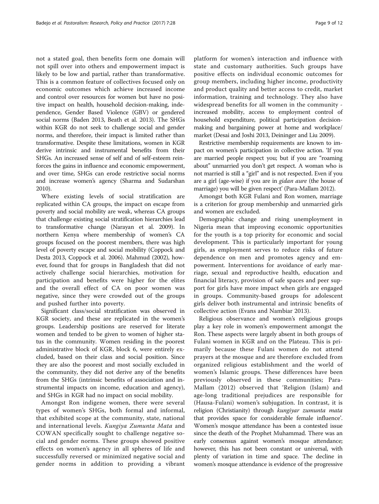not a stated goal, then benefits form one domain will not spill over into others and empowerment impact is likely to be low and partial, rather than transformative. This is a common feature of collectives focused only on economic outcomes which achieve increased income and control over resources for women but have no positive impact on health, household decision-making, independence, Gender Based Violence (GBV) or gendered social norms (Baden [2013](#page-10-0), Beath et al. [2013\)](#page-10-0). The SHGs within KGR do not seek to challenge social and gender norms, and therefore, their impact is limited rather than transformative. Despite these limitations, women in KGR derive intrinsic and instrumental benefits from their SHGs. An increased sense of self and of self-esteem reinforces the gains in influence and economic empowerment, and over time, SHGs can erode restrictive social norms and increase women's agency (Sharma and Sudarshan [2010\)](#page-11-0).

Where existing levels of social stratification are replicated within CA groups, the impact on escape from poverty and social mobility are weak, whereas CA groups that challenge existing social stratification hierarchies lead to transformative change (Narayan et al. [2009](#page-11-0)). In northern Kenya where membership of women's CA groups focused on the poorest members, there was high level of poverty escape and social mobility (Coppock and Desta [2013,](#page-10-0) Coppock et al. [2006\)](#page-10-0). Mahmud [\(2002](#page-10-0)), however, found that for groups in Bangladesh that did not actively challenge social hierarchies, motivation for participation and benefits were higher for the elites and the overall effect of CA on poor women was negative, since they were crowded out of the groups and pushed further into poverty.

Significant class/social stratification was observed in KGR society, and these are replicated in the women's groups. Leadership positions are reserved for literate women and tended to be given to women of higher status in the community. Women residing in the poorest administrative block of KGR, block 6, were entirely excluded, based on their class and social position. Since they are also the poorest and most socially excluded in the community, they did not derive any of the benefits from the SHGs (intrinsic benefits of association and instrumental impacts on income, education and agency), and SHGs in KGR had no impact on social mobility.

Amongst Ron indigene women, there were several types of women's SHGs, both formal and informal, that exhibited scope at the community, state, national and international levels. Kungiya Zumunta Mata and COWAN specifically sought to challenge negative social and gender norms. These groups showed positive effects on women's agency in all spheres of life and successfully reversed or minimized negative social and gender norms in addition to providing a vibrant platform for women's interaction and influence with state and customary authorities. Such groups have positive effects on individual economic outcomes for group members, including higher income, productivity and product quality and better access to credit, market information, training and technology. They also have widespread benefits for all women in the community increased mobility, access to employment control of household expenditure, political participation decisionmaking and bargaining power at home and workplace/ market (Desai and Joshi [2013,](#page-10-0) Deininger and Liu [2009](#page-10-0)).

Restrictive membership requirements are known to impact on women's participation in collective action. 'If you are married people respect you; but if you are "roaming about" unmarried you don't get respect. A woman who is not married is still a "girl" and is not respected. Even if you are a girl (age-wise) if you are in gidan aure (the house of marriage) you will be given respect' (Para-Mallam [2012](#page-11-0)).

Amongst both KGR Fulani and Ron women, marriage is a criterion for group membership and unmarried girls and women are excluded.

Demographic change and rising unemployment in Nigeria mean that improving economic opportunities for the youth is a top priority for economic and social development. This is particularly important for young girls, as employment serves to reduce risks of future dependence on men and promotes agency and empowerment. Interventions for avoidance of early marriage, sexual and reproductive health, education and financial literacy, provision of safe spaces and peer support for girls have more impact when girls are engaged in groups. Community-based groups for adolescent girls deliver both instrumental and intrinsic benefits of collective action (Evans and Nambiar [2013\)](#page-10-0).

Religious observance and women's religious groups play a key role in women's empowerment amongst the Ron. These aspects were largely absent in both groups of Fulani women in KGR and on the Plateau. This is primarily because these Fulani women do not attend prayers at the mosque and are therefore excluded from organized religious establishment and the world of women's Islamic groups. These differences have been previously observed in these communities; Para-Mallam ([2012](#page-11-0)) observed that 'Religion (Islam) and age-long traditional prejudices are responsible for (Hausa-Fulani) women's subjugation. In contrast, it is religion (Christianity) through kungiyar zumunta mata that provides space for considerable female influence'. Women's mosque attendance has been a contested issue since the death of the Prophet Muhammad. There was an early consensus against women's mosque attendance; however, this has not been constant or universal, with plenty of variation in time and space. The decline in women's mosque attendance is evidence of the progressive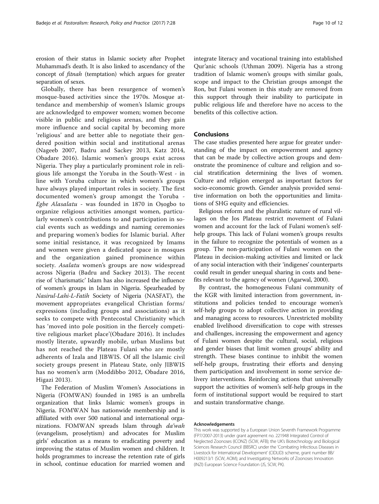erosion of their status in Islamic society after Prophet Muhammad's death. It is also linked to ascendancy of the concept of fitnah (temptation) which argues for greater separation of sexes.

Globally, there has been resurgence of women's mosque-based activities since the 1970s. Mosque attendance and membership of women's Islamic groups are acknowledged to empower women; women become visible in public and religious arenas, and they gain more influence and social capital by becoming more 'religious' and are better able to negotiate their gendered position within social and institutional arenas (Nageeb [2007,](#page-11-0) Badru and Sackey [2013](#page-10-0), Katz [2014](#page-10-0), Obadare [2016](#page-11-0)). Islamic women's groups exist across Nigeria. They play a particularly prominent role in religious life amongst the Yoruba in the South-West - in line with Yoruba culture in which women's groups have always played important roles in society. The first documented women's group amongst the Yoruba - Egbe Alasalatu - was founded in 1870 in Oṣogbo to organize religious activities amongst women, particularly women's contributions to and participation in social events such as weddings and naming ceremonies and preparing women's bodies for Islamic burial. After some initial resistance, it was recognized by Imams and women were given a dedicated space in mosques and the organization gained prominence within society. Asalatu women's groups are now widespread across Nigeria (Badru and Sackey [2013\)](#page-10-0). The recent rise of 'charismatic' Islam has also increased the influence of women's groups in Islam in Nigeria. Spearheaded by Nasirul-Lahi-L-Fatih Society of Nigeria (NASFAT), the movement appropriates evangelical Christian forms/ expressions (including groups and associations) as it seeks to compete with Pentecostal Christianity which has 'moved into pole position in the fiercely competitive religious market place'(Obadare [2016](#page-11-0)). It includes mostly literate, upwardly mobile, urban Muslims but has not reached the Plateau Fulani who are mostly adherents of Izala and JIBWIS. Of all the Islamic civil society groups present in Plateau State, only JIBWIS has no women's arm (Moddibbo [2012,](#page-11-0) Obadare [2016](#page-11-0), Higazi [2013](#page-10-0)).

The Federation of Muslim Women's Associations in Nigeria (FOMWAN) founded in 1985 is an umbrella organization that links Islamic women's groups in Nigeria. FOMWAN has nationwide membership and is affiliated with over 500 national and international organizations. FOMWAN spreads Islam through da'wah (evangelism, proselytism) and advocates for Muslim girls' education as a means to eradicating poverty and improving the status of Muslim women and children. It holds programmes to increase the retention rate of girls in school, continue education for married women and integrate literacy and vocational training into established Qur'anic schools (Uthman [2009\)](#page-11-0). Nigeria has a strong tradition of Islamic women's groups with similar goals, scope and impact to the Christian groups amongst the Ron, but Fulani women in this study are removed from this support through their inability to participate in public religious life and therefore have no access to the benefits of this collective action.

#### Conclusions

The case studies presented here argue for greater understanding of the impact on empowerment and agency that can be made by collective action groups and demonstrate the prominence of culture and religion and social stratification determining the lives of women. Culture and religion emerged as important factors for socio-economic growth. Gender analysis provided sensitive information on both the opportunities and limitations of SHG equity and efficiencies.

Religious reform and the pluralistic nature of rural villages on the Jos Plateau restrict movement of Fulani women and account for the lack of Fulani women's selfhelp groups. This lack of Fulani women's groups results in the failure to recognize the potentials of women as a group. The non-participation of Fulani women on the Plateau in decision-making activities and limited or lack of any social interaction with their 'indigenes' counterparts could result in gender unequal sharing in costs and benefits relevant to the agency of women (Agarwal, [2000](#page-10-0)).

By contrast, the homogeneous Fulani community of the KGR with limited interaction from government, institutions and policies tended to encourage women's self-help groups to adopt collective action in providing and managing access to resources. Unrestricted mobility enabled livelihood diversification to cope with stresses and challenges, increasing the empowerment and agency of Fulani women despite the cultural, social, religious and gender biases that limit women groups' ability and strength. These biases continue to inhibit the women self-help groups, frustrating their efforts and denying them participation and involvement in some service delivery interventions. Reinforcing actions that universally support the activities of women's self-help groups in the form of institutional support would be required to start and sustain transformative change.

#### Acknowledgements

This work was supported by a European Union Seventh Framework Programme (FP7/2007-2013) under grant agreement no. 221948 Integrated Control of Neglected Zoonoses (ICONZ) (SCW, AFB); the UK's Biotechnology and Biological Sciences Research Council (BBSRC) under the 'Combating Infectious Diseases in Livestock for International Development' (CIDLID) scheme, grant number BB/ H009213/1 (SCW, AOM); and Investigating Networks of Zoonoses Innovation (INZI) European Science Foundation (JS, SCW, PK).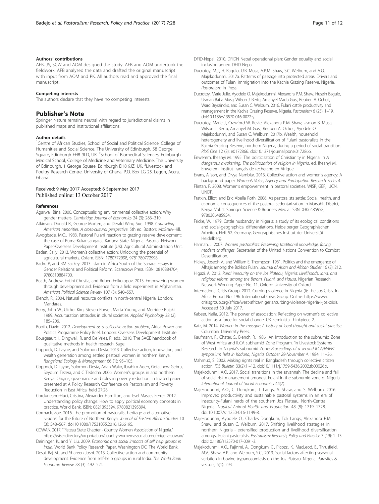<span id="page-10-0"></span>AFB, JS, SCW and AOM designed the study. AFB and AOM undertook the fieldwork. AFB analysed the data and drafted the original manuscript with input from AOM and PK. All authors read and approved the final manuscript.

#### Competing interests

The authors declare that they have no competing interests.

#### Publisher's Note

Springer Nature remains neutral with regard to jurisdictional claims in published maps and institutional affiliations.

#### Author details

<sup>1</sup>Centre of African Studies, School of Social and Political Science, College of Humanities and Social Science, The University of Edinburgh, 58 George Square, Edinburgh EH8 9LD, UK. <sup>2</sup>School of Biomedical Sciences, Edinburgh Medical School, College of Medicine and Veterinary Medicine, The University of Edinburgh, 1 George Square, Edinburgh EH8 9JZ, UK. <sup>3</sup>Livestock and Poultry Research Centre, University of Ghana, P.O. Box LG 25, Legon, Accra, Ghana.

#### Received: 9 May 2017 Accepted: 6 September 2017 Published online: 13 October 2017

#### References

- Agarwal, Bina. 2000. Conceptualising environmental collective action: Why gender matters. Cambridge Journal of Economics 24 (3): 283–310.
- Atkinson, Donald R., George Morten, and Derald Wing Sue. 1998. Counseling American minorities: A cross-cultural perspective. 5th ed. Boston: McGraw-Hill.
- Awogbade, M.O., 1983. Pastoral Fulani reaction to grazing reserve development: the case of Ruma-Kukar-Jangarai, Kaduna State, Nigeria. Pastoral Network Paper-Overseas Development Institute (UK). Agricultural Administration Unit.
- Baden, Sally. 2013. Women's collective action: Unlocking the potential of agricultural markets. Oxfam. ISBN: 1780772998, 9781780772998.
- Badru P, and BM Sackey. 2013. Islam in Africa South of the Sahara: Essays in Gender Relations and Political Reform. Scarecrow Press. ISBN: 0810884704, 9780810884700.
- Beath, Andrew, Fotini Christia, and Ruben Enikolopov. 2013. Empowering women through development aid: Evidence from a field experiment in Afghanistan. American Political Science Review 107 (3): 540–557.
- Blench, R., 2004. Natural resource conflicts in north-central Nigeria. London: Mandaras.
- Berry, John W., Uichol Kim, Steven Power, Marta Young, and Merridee Bujaki. 1989. Acculturation attitudes in plural societies. Applied Psychology 38 (2): 185–206.
- Booth, David. 2012. Development as a collective action problem, Africa Power and Politics Programme Policy Brief. London: Overseas Development Institute.
- Bourgeault, I., Dingwall, R. and De Vries, R. eds., 2010. The SAGE handbook of qualitative methods in health research. Sage.
- Coppock, D. Layne, and Solomon Desta. 2013. Collective action, innovation, and wealth generation among settled pastoral women in northern Kenya. Rangeland Ecology & Management 66 (1): 95–105.
- Coppock, D Layne, Solomon Desta, Adan Wako, Ibrahim Aden, Getachew Gebru, Seyoum Tezera, and C Tedecha. 2006. Women's groups in arid northern Kenya: Origins, governance and roles in poverty reduction. In Invited paper presented at A Policy Research Conference on Pastoralism and Poverty Reduction in East Africa, held 27:28.
- Corduneanu-Huci, Cristina, Alexander Hamilton, and Issel Masses Ferrer. 2012. Understanding policy change: How to apply political economy concepts in practice. World Bank. ISBN: 0821395394, 9780821395394.
- Cormack, Zoe. 2016. The promotion of pastoralist heritage and alternative 'visions' for the future of Northern Kenya. Journal of Eastern African Studies 10 (3): 548–567. doi:[10.1080/17531055.2016.1266195](http://dx.doi.org/10.1080/17531055.2016.1266195).
- COWAN. 2017. "Plateau State Chapter Country Women Association of Nigeria." [https://wiser.directory/organization/country-women-association-of-nigeria-cowan/.](https://wiser.directory/organization/country-women-association-of-nigeria-cowan/)
- Deininger, K., and Y. Liu. 2009. Economic and social impacts of self help groups in India, World Bank Policy Research Paper. Washington DC: The World Bank.
- Desai, Raj M., and Shareen Joshi. 2013. Collective action and community development: Evidence from self-help groups in rural India. The World Bank Economic Review 28 (3): 492–524.
- DFID-Nepal. 2010. DFIDN Nepal operational plan: Gender equality and social inclusion annex. DFID Nepal.
- Ducrotoy, M.J., H. Bagulo, U.B. Musa, A.P.M. Shaw, S.C. Welburn, and A.O. Majekodunmi. 2017a. Patterns of passage into protected areas: Drivers and outcomes of Fulani immigration into the Kachia Grazing Reserve, Nigeria. Pastoralism In Press.
- Ducrotoy, Marie Julie, Ayodele O. Majekodunmi, Alexandra P.M. Shaw, Husein Bagulo, Usman Baba Musa, Wilson J. Bertu, Amahyel Madu Gusi, Reuben A. Ocholi, Ward Bryssinckx, and Susan C. Welburn. 2016. Fulani cattle productivity and management in the Kachia Grazing Reserve, Nigeria. Pastoralism 6 (25): 1-19. doi[:10.1186/s13570-016-0072-y.](http://dx.doi.org/10.1186/s13570-016-0072-y)
- Ducrotoy, Marie J., Crawford W. Revie, Alexandra P.M. Shaw, Usman B. Musa, Wilson J. Bertu, Amahyel M. Gusi, Reuben A. Ocholi, Ayodele O. Majekodunmi, and Susan C. Welburn. 2017b. Wealth, household heterogeneity and livelihood diversification of Fulani pastoralists in the Kachia Grazing Reserve, northern Nigeria, during a period of social transition. PloS One 12 (3): e0172866. doi:[10.1371/journal.pone.0172866.](http://dx.doi.org/10.1371/journal.pone.0172866)
- Enwerem, Iheanyi M. 1995. The politicization of Christianity in Nigeria. In A dangerous awakening: The politicization of religion in Nigeria, ed. Iheanyi M. Enwerem. Institut français de recherche en Afrique.
- Evans, Alison, and Divya Nambiar. 2013. Collective action and women's agency: A background paper. Women's Voice, Agency and Participation Research Series 4.
- Flintan, F. 2008. Women's empowerment in pastoral societies. WISP, GEF, IUCN, **LINDP**
- Fratkin, Elliot, and Eric Abella Roth. 2006. As pastoralists settle: Social, health, and economic consequences of the pastoral sedentarization in Marsabit District, Kenya. Vol. 1: Springer Science & Business Media. ISBN: 0306485958, 9780306485954.
- Fricke, W., 1979. Cattle husbandry in Nigeria: a study of its ecological conditions and social-geographical differentiations. Heidelberger Geographischen Arbeiten, Heft 52. Germany, Geographisches Institut der Universität Heidelberg.
- Hannah, J. 2007. Women pastoralists: Preserving traditional knowledge, facing modern challenges. Secretariat of the United Nations Convention to Combat Desertification.
- Hickey, Joseph V., and William E. Thompson. 1981. Politics and the emergence of Alhajis among the Bokkos Fulani. Journal of Asian and African Studies 16 (3): 212.
- Higazi, A. 2013. Rural insecurity on the Jos Plateau, Nigeria: Livelihoods, land, and religious reform among the Berom, Fulani, and Hausa, Nigerian Research Network Working Paper No. 11. Oxford: University of Oxford.
- International-Crisis-Group. 2012. Curbing violence in Nigeria (I): The Jos Crisis. In Africa Report No. 196. International Crisis Group. Online: [https://www.](https://www.crisisgroup.org/africa/west-africa/nigeria/curbing-violence-nigeria-i-jos-crisis) [crisisgroup.org/africa/west-africa/nigeria/curbing-violence-nigeria-i-jos-crisis](https://www.crisisgroup.org/africa/west-africa/nigeria/curbing-violence-nigeria-i-jos-crisis). Accessed 30 July 2017.

Kabeer, Naila. 2012. The power of association: Reflecting on women's collective action as a force for social change. UK Feminista Thinkpiece 2.

- Katz, M. 2014. Women in the mosque: A history of legal thought and social practice. Columbia: University Press.
- Kaufmann, R., Chater, S., Blench, R. 1986. 'An Introduction to the subhumid Zone of West Africa and ILCA subhumid Zone Program. 'In Livestock Systems Research in Nigeria's subhumid Zone: Proceedings of a second ILCA/NAPRI symposium held in Kaduna, Nigeria, October 29-November 4, 1984: 11–36.
- Mahmud, S. 2002. Making rights real in Bangladesh through collective citizen action. IDS Bulletin 33(2):1i–12. doi:[10.1111/j.1759-5436.2002.tb00026.x](http://dx.doi.org/10.1111/j.1759-5436.2002.tb00026.x).
- Majekodunmi, A.O. 2017. Social transitions in the savannah: The decline and fall of social risk management amongst Fulani in the subhumid zone of Nigeria. International Journal of Social Economics 44(7).
- Majekodunmi, A.O., C. Dongkum, T. Langs, A. Shaw, and S. Welburn. 2016. Improved productivity and sustainable pastoral systems in an era of insecurity-Fulani herds of the southern Jos Plateau, North-Central Nigeria. Tropical Animal Health and Production 48 (8): 1719–1728. doi[:10.1007/s11250-016-1149-8.](http://dx.doi.org/10.1007/s11250-016-1149-8)
- Majekodunmi, Ayodele O., Charles Dongkum, Tok Langs, Alexandra P.M. Shaw, and Susan C. Welburn. 2017. Shifting livelihood strategies in northern Nigeria - extensified production and livelihood diversification amongst Fulani pastoralists. Pastoralism: Research, Policy and Practice 7 (19): 1–13. doi:[10.1186/s13570-017-0091-3](http://dx.doi.org/10.1186/s13570-017-0091-3).
- Majekodunmi, A.O., Fajinmi, A., Dongkum, C., Picozzi, K., MacLeod, E., Thrusfield, M.V., Shaw, A.P. and Welburn, S.C., 2013. Social factors affecting seasonal variation in bovine trypanosomiasis on the Jos Plateau, Nigeria. Parasites & vectors, 6(1): 293.